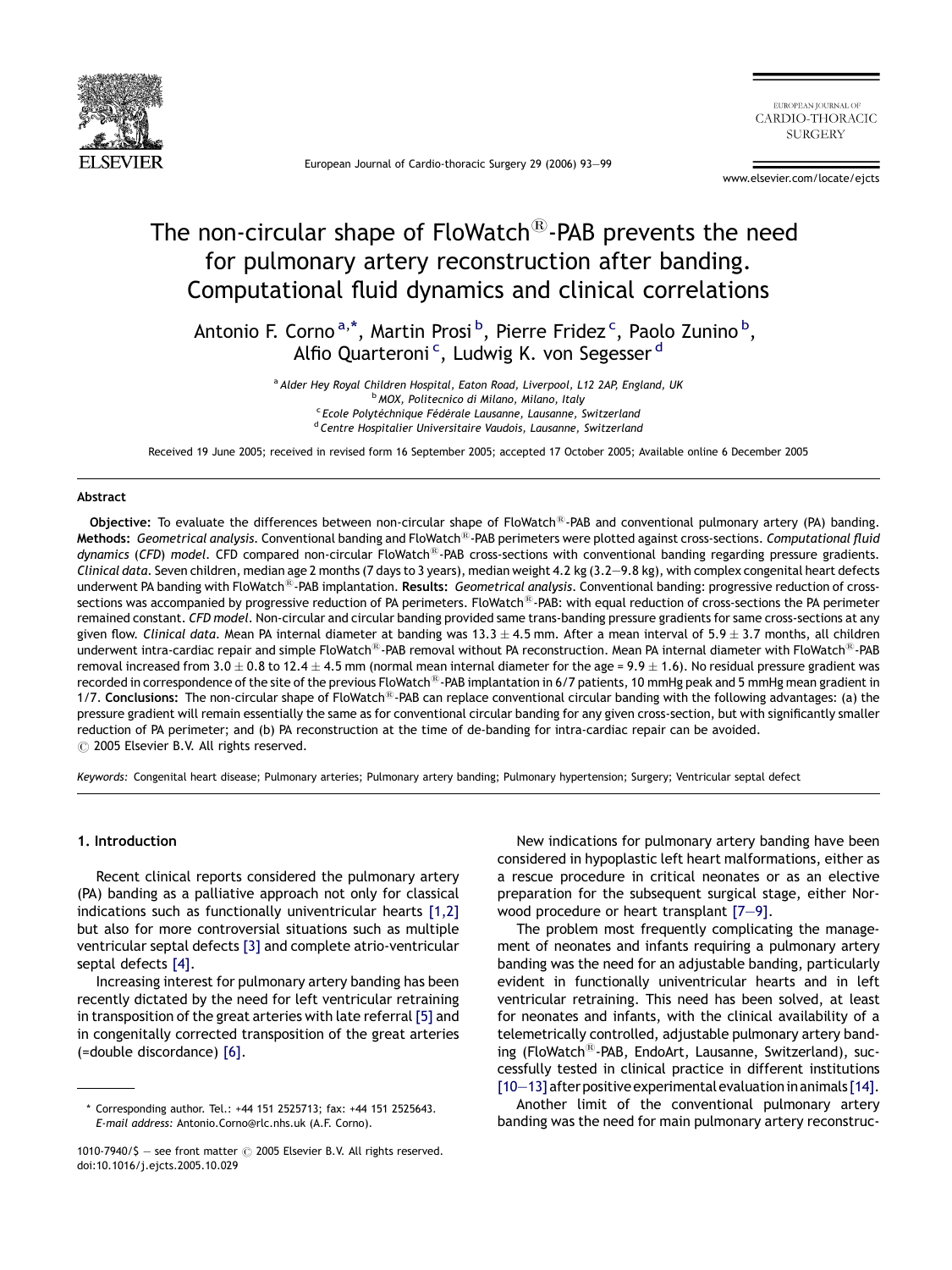

European Journal of Cardio-thoracic Surgery 29 (2006) 93—99

EUROPEAN IOURNAL OF CARDIO-THORACIC **SURGERY** 

www.elsevier.com/locate/ejcts

# The non-circular shape of  $Flowatch^{(B)}$ -PAB prevents the need for pulmonary artery reconstruction after banding. Computational fluid dynamics and clinical correlations

Antonio F. Corno <sup>a, \*</sup>, Martin Prosi <sup>b</sup>, Pierre Fridez <sup>c</sup>, Paolo Zunino <sup>b</sup>, Alfio Quarteroni<sup>c</sup>, Ludwig K. von Segesser<sup>d</sup>

> <sup>a</sup> Alder Hey Royal Children Hospital, Eaton Road, Liverpool, L12 2AP, England, UK <sup>b</sup> MOX, Politecnico di Milano, Milano, Italy <sup>c</sup> Ecole Polytéchnique Fédérale Lausanne, Lausanne, Switzerland <sup>d</sup> Centre Hospitalier Universitaire Vaudois, Lausanne, Switzerland

Received 19 June 2005; received in revised form 16 September 2005; accepted 17 October 2005; Available online 6 December 2005

#### Abstract

Objective: To evaluate the differences between non-circular shape of FloWatch<sup>®</sup>-PAB and conventional pulmonary artery (PA) banding. Methods: Geometrical analysis. Conventional banding and FloWatch<sup>®</sup>-PAB perimeters were plotted against cross-sections. Computational fluid dynamics (CFD) model. CFD compared non-circular FloWatch<sup>®</sup>-PAB cross-sections with conventional banding regarding pressure gradients. Clinical data. Seven children, median age 2 months (7 days to 3 years), median weight 4.2 kg (3.2—9.8 kg), with complex congenital heart defects underwent PA banding with FloWatch<sup>®</sup>-PAB implantation. Results: Geometrical analysis. Conventional banding: progressive reduction of crosssections was accompanied by progressive reduction of PA perimeters. FloWatch<sup>®</sup>-PAB: with equal reduction of cross-sections the PA perimeter remained constant. CFD model. Non-circular and circular banding provided same trans-banding pressure gradients for same cross-sections at any given flow. Clinical data. Mean PA internal diameter at banding was  $13.3 \pm 4.5$  mm. After a mean interval of  $5.9 \pm 3.7$  months, all children underwent intra-cardiac repair and simple FloWatch<sup>®</sup>-PAB removal without PA reconstruction. Mean PA internal diameter with FloWatch<sup>®</sup>-PAB removal increased from 3.0  $\pm$  0.8 to 12.4  $\pm$  4.5 mm (normal mean internal diameter for the age = 9.9  $\pm$  1.6). No residual pressure gradient was recorded in correspondence of the site of the previous FloWatch<sup>®</sup>-PAB implantation in 6/7 patients, 10 mmHg peak and 5 mmHg mean gradient in 1/7. Conclusions: The non-circular shape of FloWatch<sup>®</sup>-PAB can replace conventional circular banding with the following advantages: (a) the pressure gradient will remain essentially the same as for conventional circular banding for any given cross-section, but with significantly smaller reduction of PA perimeter; and (b) PA reconstruction at the time of de-banding for intra-cardiac repair can be avoided.  $\odot$  2005 Elsevier B.V. All rights reserved.

Keywords: Congenital heart disease; Pulmonary arteries; Pulmonary artery banding; Pulmonary hypertension; Surgery; Ventricular septal defect

## 1. Introduction

Recent clinical reports considered the pulmonary artery (PA) banding as a palliative approach not only for classical indications such as functionally univentricular hearts [\[1,2\]](#page-6-0) but also for more controversial situations such as multiple ventricular septal defects [\[3\]](#page-6-0) and complete atrio-ventricular septal defects [\[4\].](#page-6-0)

Increasing interest for pulmonary artery banding has been recently dictated by the need for left ventricular retraining in transposition of the great arteries with late referral [\[5\]](#page-6-0) and in congenitally corrected transposition of the great arteries (=double discordance) [\[6\].](#page-6-0)

New indications for pulmonary artery banding have been considered in hypoplastic left heart malformations, either as a rescue procedure in critical neonates or as an elective preparation for the subsequent surgical stage, either Norwood procedure or heart transplant [\[7—9\].](#page-6-0)

The problem most frequently complicating the management of neonates and infants requiring a pulmonary artery banding was the need for an adjustable banding, particularly evident in functionally univentricular hearts and in left ventricular retraining. This need has been solved, at least for neonates and infants, with the clinical availability of a telemetrically controlled, adjustable pulmonary artery banding (FloWatch<sup>®</sup>-PAB, EndoArt, Lausanne, Switzerland), successfully tested in clinical practice in different institutions  $[10-13]$  after positive experimental evaluation in animals  $[14]$ .

Another limit of the conventional pulmonary artery banding was the need for main pulmonary artery reconstruc-

<sup>\*</sup> Corresponding author. Tel.: +44 151 2525713; fax: +44 151 2525643. E-mail address: Antonio.Corno@rlc.nhs.uk (A.F. Corno).

<sup>1010-7940/</sup>S - see front matter  $\odot$  2005 Elsevier B.V. All rights reserved. doi:10.1016/j.ejcts.2005.10.029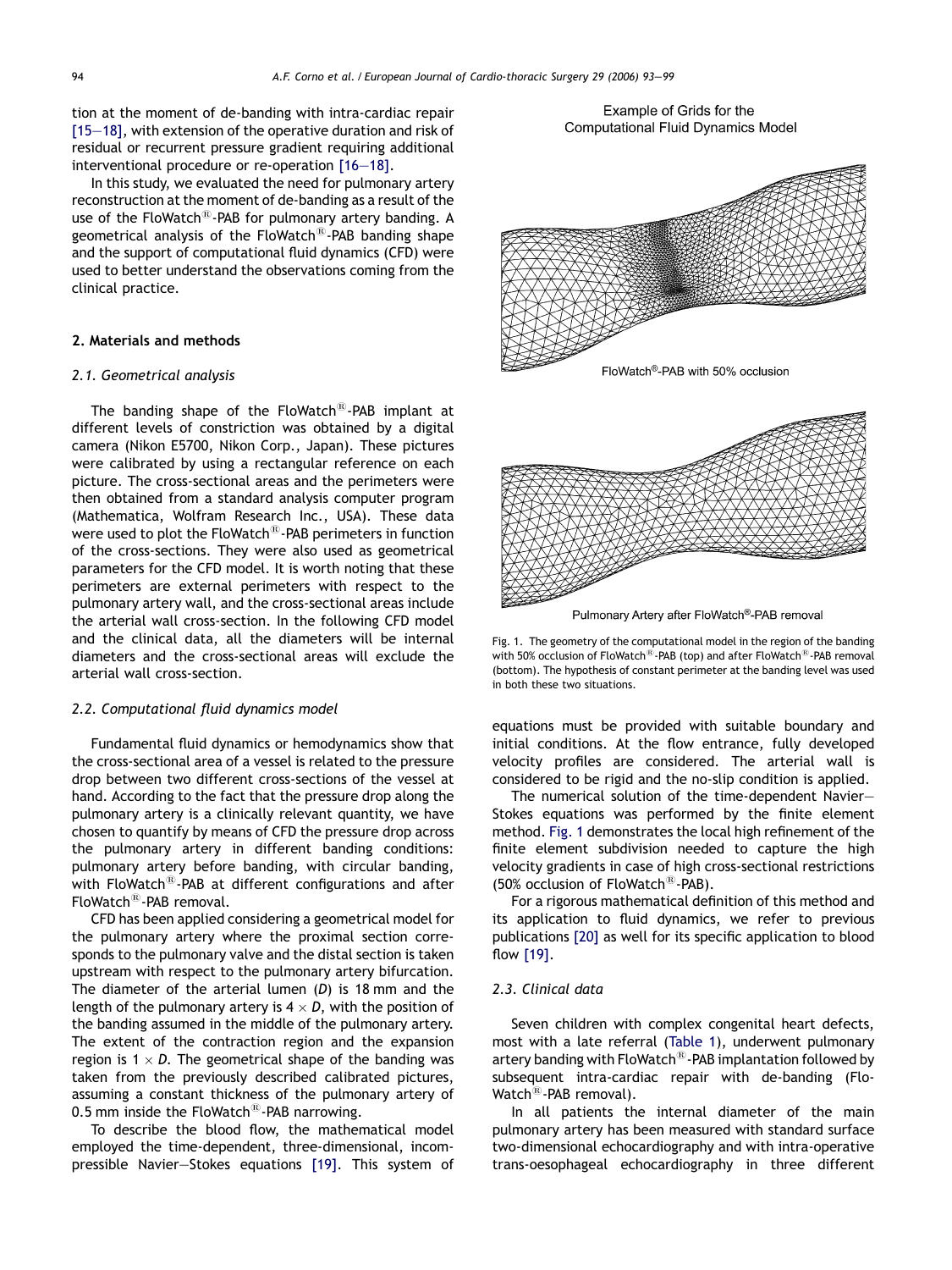tion at the moment of de-banding with intra-cardiac repair [\[15—18\],](#page-6-0) with extension of the operative duration and risk of residual or recurrent pressure gradient requiring additional interventional procedure or re-operation [\[16—18\].](#page-6-0)

In this study, we evaluated the need for pulmonary artery reconstruction at the moment of de-banding as a result of the use of the FloWatch<sup>®</sup>-PAB for pulmonary artery banding. A geometrical analysis of the FloWatch $\mathbb{B}$ -PAB banding shape and the support of computational fluid dynamics (CFD) were used to better understand the observations coming from the clinical practice.

# 2. Materials and methods

## 2.1. Geometrical analysis

The banding shape of the  $F$ loWatch $^{(8)}$ -PAB implant at different levels of constriction was obtained by a digital camera (Nikon E5700, Nikon Corp., Japan). These pictures were calibrated by using a rectangular reference on each picture. The cross-sectional areas and the perimeters were then obtained from a standard analysis computer program (Mathematica, Wolfram Research Inc., USA). These data were used to plot the FloWatch $\mathbb{B}$ -PAB perimeters in function of the cross-sections. They were also used as geometrical parameters for the CFD model. It is worth noting that these perimeters are external perimeters with respect to the pulmonary artery wall, and the cross-sectional areas include the arterial wall cross-section. In the following CFD model and the clinical data, all the diameters will be internal diameters and the cross-sectional areas will exclude the arterial wall cross-section.

# 2.2. Computational fluid dynamics model

Fundamental fluid dynamics or hemodynamics show that the cross-sectional area of a vessel is related to the pressure drop between two different cross-sections of the vessel at hand. According to the fact that the pressure drop along the pulmonary artery is a clinically relevant quantity, we have chosen to quantify by means of CFD the pressure drop across the pulmonary artery in different banding conditions: pulmonary artery before banding, with circular banding, with FloWatch $^{\circledR}$ -PAB at different configurations and after FloWatch<sup>®</sup>-PAB removal.

CFD has been applied considering a geometrical model for the pulmonary artery where the proximal section corresponds to the pulmonary valve and the distal section is taken upstream with respect to the pulmonary artery bifurcation. The diameter of the arterial lumen  $(D)$  is 18 mm and the length of the pulmonary artery is 4  $\times$  D, with the position of the banding assumed in the middle of the pulmonary artery. The extent of the contraction region and the expansion region is 1  $\times$  D. The geometrical shape of the banding was taken from the previously described calibrated pictures, assuming a constant thickness of the pulmonary artery of 0.5 mm inside the FloWatch $^{(8)}$ -PAB narrowing.

To describe the blood flow, the mathematical model employed the time-dependent, three-dimensional, incompressible Navier—Stokes equations [\[19\].](#page-6-0) This system of



Example of Grids for the **Computational Fluid Dynamics Model** 

Pulmonary Artery after FloWatch®-PAB removal

Fig. 1. The geometry of the computational model in the region of the banding with 50% occlusion of FloWatch<sup>®</sup>-PAB (top) and after FloWatch<sup>®</sup>-PAB removal (bottom). The hypothesis of constant perimeter at the banding level was used in both these two situations.

equations must be provided with suitable boundary and initial conditions. At the flow entrance, fully developed velocity profiles are considered. The arterial wall is considered to be rigid and the no-slip condition is applied.

The numerical solution of the time-dependent Navier— Stokes equations was performed by the finite element method. Fig. 1 demonstrates the local high refinement of the finite element subdivision needed to capture the high velocity gradients in case of high cross-sectional restrictions (50% occlusion of FloWatch $\textsuperscript{6}$ -PAB).

For a rigorous mathematical definition of this method and its application to fluid dynamics, we refer to previous publications [\[20\]](#page-6-0) as well for its specific application to blood flow [\[19\].](#page-6-0)

# 2.3. Clinical data

Seven children with complex congenital heart defects, most with a late referral [\(Table 1](#page-2-0)), underwent pulmonary artery banding with FloWatch<sup>®</sup>-PAB implantation followed by subsequent intra-cardiac repair with de-banding (Flo-Watch<sup>®</sup>-PAB removal).

In all patients the internal diameter of the main pulmonary artery has been measured with standard surface two-dimensional echocardiography and with intra-operative trans-oesophageal echocardiography in three different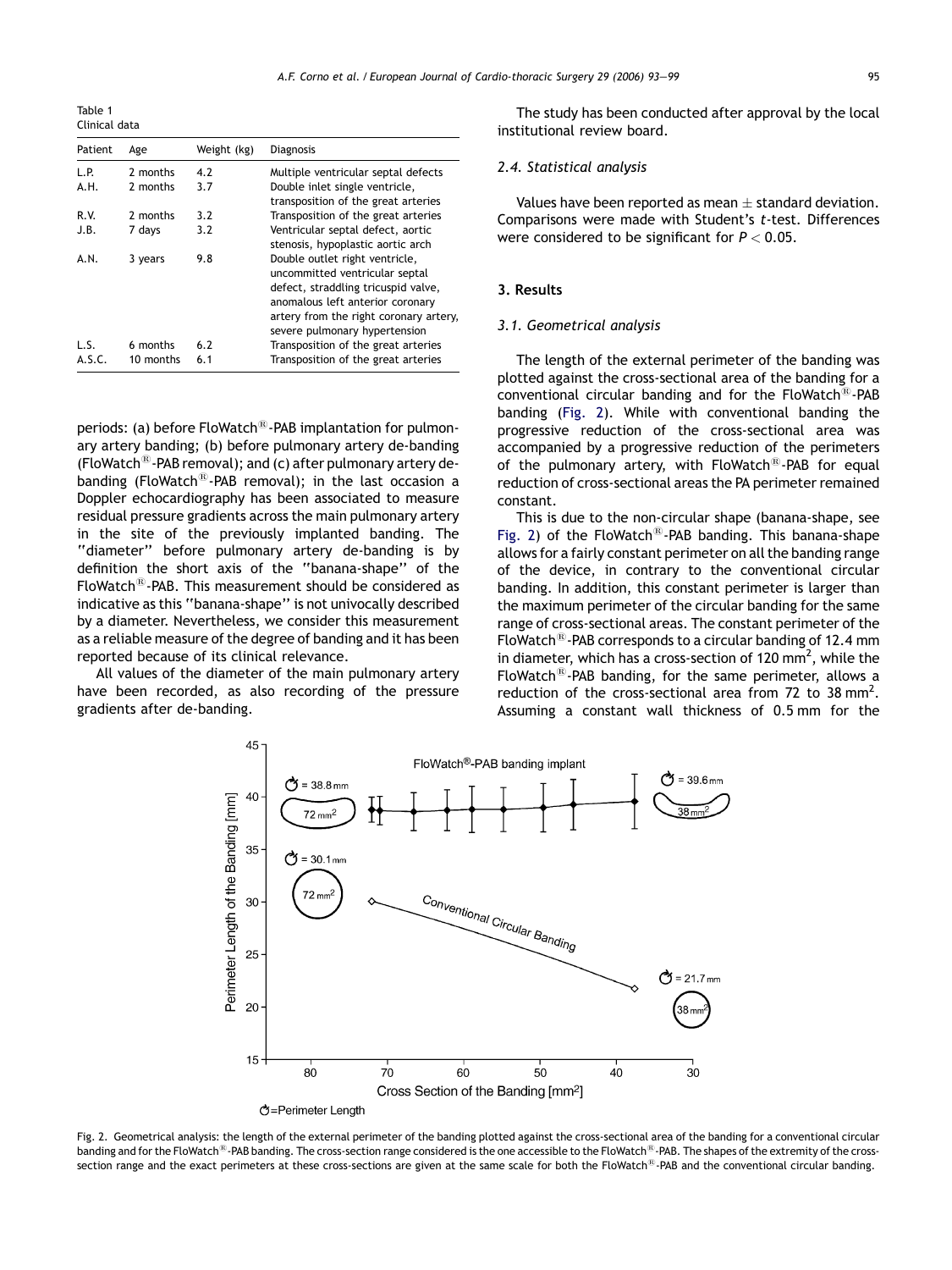<span id="page-2-0"></span>Table 1 Clinical data

| Patient | Age       | Weight (kg) | <b>Diagnosis</b>                                                                                                                                                                                                       |
|---------|-----------|-------------|------------------------------------------------------------------------------------------------------------------------------------------------------------------------------------------------------------------------|
| 1.P.    | 2 months  | 4.2         | Multiple ventricular septal defects                                                                                                                                                                                    |
| A.H.    | 2 months  | 3.7         | Double inlet single ventricle,<br>transposition of the great arteries                                                                                                                                                  |
| R.V.    | 2 months  | 3.2         | Transposition of the great arteries                                                                                                                                                                                    |
| J.B.    | 7 days    | 3.2         | Ventricular septal defect, aortic<br>stenosis, hypoplastic aortic arch                                                                                                                                                 |
| A.N.    | 3 years   | 9.8         | Double outlet right ventricle,<br>uncommitted ventricular septal<br>defect, straddling tricuspid valve,<br>anomalous left anterior coronary<br>artery from the right coronary artery,<br>severe pulmonary hypertension |
| LS.     | 6 months  | 6.2         | Transposition of the great arteries                                                                                                                                                                                    |
| A.S.C.  | 10 months | 6.1         | Transposition of the great arteries                                                                                                                                                                                    |

periods: (a) before FloWatch<sup>®</sup>-PAB implantation for pulmonary artery banding; (b) before pulmonary artery de-banding (FloWatch<sup>®</sup>-PAB removal); and (c) after pulmonary artery debanding (FloWatch<sup>®</sup>-PAB removal); in the last occasion a Doppler echocardiography has been associated to measure residual pressure gradients across the main pulmonary artery in the site of the previously implanted banding. The ''diameter'' before pulmonary artery de-banding is by definition the short axis of the ''banana-shape'' of the FloWatch $^{(8)}$ -PAB. This measurement should be considered as indicative as this ''banana-shape'' is not univocally described by a diameter. Nevertheless, we consider this measurement as a reliable measure of the degree of banding and it has been reported because of its clinical relevance.

All values of the diameter of the main pulmonary artery have been recorded, as also recording of the pressure gradients after de-banding.

The study has been conducted after approval by the local institutional review board.

## 2.4. Statistical analysis

Values have been reported as mean  $\pm$  standard deviation. Comparisons were made with Student's t-test. Differences were considered to be significant for  $P < 0.05$ .

## 3. Results

#### 3.1. Geometrical analysis

The length of the external perimeter of the banding was plotted against the cross-sectional area of the banding for a conventional circular banding and for the FloWatch $^{(8)}$ -PAB banding (Fig. 2). While with conventional banding the progressive reduction of the cross-sectional area was accompanied by a progressive reduction of the perimeters of the pulmonary artery, with  $F$ loWatch<sup>®</sup>-PAB for equal reduction of cross-sectional areas the PA perimeter remained constant.

This is due to the non-circular shape (banana-shape, see Fig. 2) of the FloWatch<sup>®</sup>-PAB banding. This banana-shape allows for a fairly constant perimeter on all the banding range of the device, in contrary to the conventional circular banding. In addition, this constant perimeter is larger than the maximum perimeter of the circular banding for the same range of cross-sectional areas. The constant perimeter of the FloWatch<sup>®</sup>-PAB corresponds to a circular banding of 12.4 mm in diameter, which has a cross-section of 120 mm<sup>2</sup>, while the FloWatch<sup>®</sup>-PAB banding, for the same perimeter, allows a reduction of the cross-sectional area from 72 to 38 mm<sup>2</sup>. Assuming a constant wall thickness of 0.5 mm for the



Fig. 2. Geometrical analysis: the length of the external perimeter of the banding plotted against the cross-sectional area of the banding for a conventional circular banding and for the FloWatch<sup>®</sup>-PAB banding. The cross-section range considered is the one accessible to the FloWatch<sup>®</sup>-PAB. The shapes of the extremity of the crosssection range and the exact perimeters at these cross-sections are given at the same scale for both the FloWatch<sup>®</sup>-PAB and the conventional circular banding.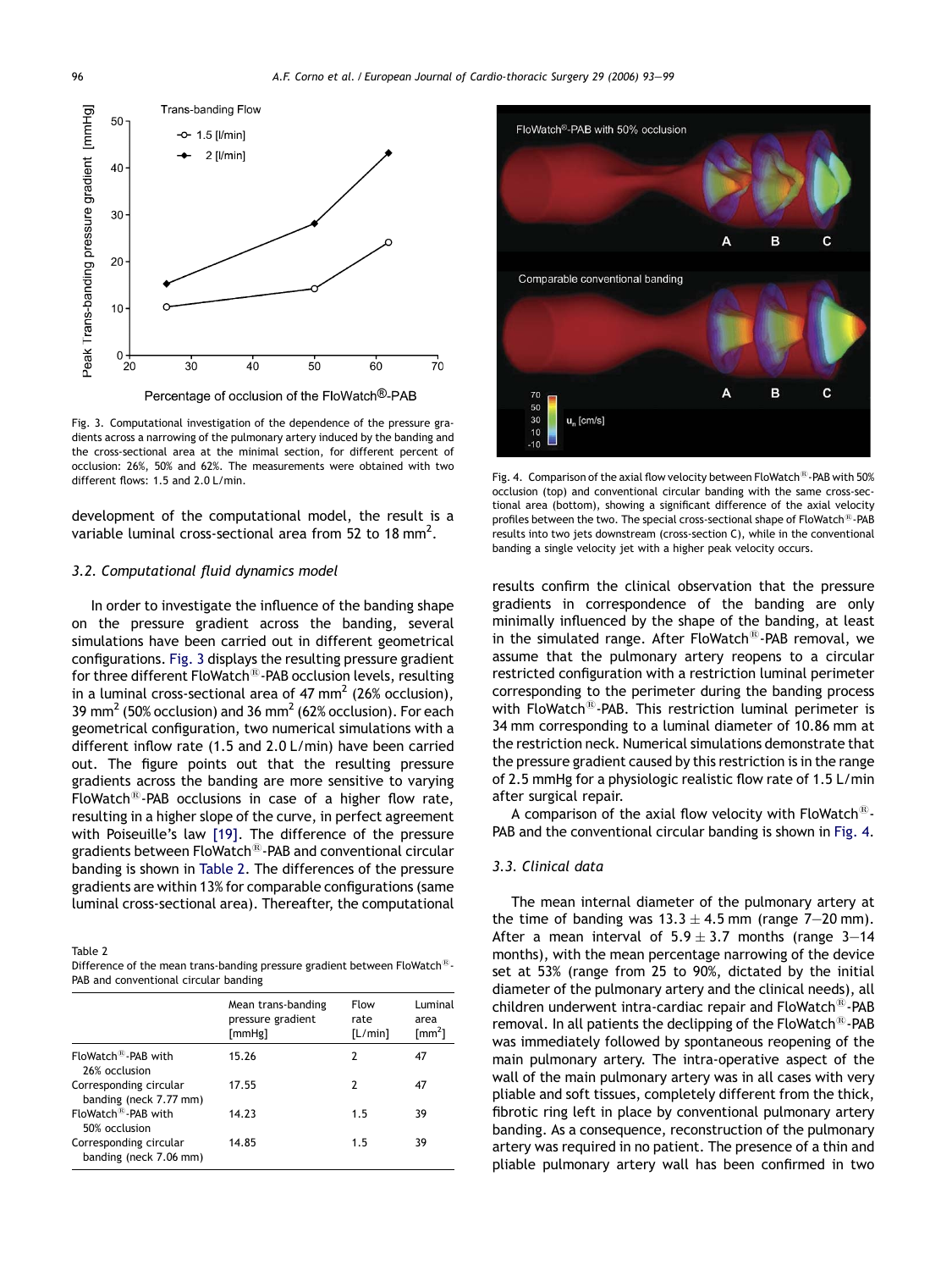<span id="page-3-0"></span>

Fig. 3. Computational investigation of the dependence of the pressure gradients across a narrowing of the pulmonary artery induced by the banding and the cross-sectional area at the minimal section, for different percent of occlusion: 26%, 50% and 62%. The measurements were obtained with two different flows: 1.5 and 2.0 L/min.

development of the computational model, the result is a variable luminal cross-sectional area from 52 to 18 mm<sup>2</sup>.

#### 3.2. Computational fluid dynamics model

In order to investigate the influence of the banding shape on the pressure gradient across the banding, several simulations have been carried out in different geometrical configurations. Fig. 3 displays the resulting pressure gradient for three different FloWatch<sup>®</sup>-PAB occlusion levels, resulting in a luminal cross-sectional area of  $47 \text{ mm}^2$  (26% occlusion), 39 mm<sup>2</sup> (50% occlusion) and 36 mm<sup>2</sup> (62% occlusion). For each geometrical configuration, two numerical simulations with a different inflow rate (1.5 and 2.0 L/min) have been carried out. The figure points out that the resulting pressure gradients across the banding are more sensitive to varying FloWatch $^{(8)}$ -PAB occlusions in case of a higher flow rate, resulting in a higher slope of the curve, in perfect agreement with Poiseuille's law [\[19\].](#page-6-0) The difference of the pressure gradients between FloWatch $\mathbb{B}_1$ -PAB and conventional circular banding is shown in Table 2. The differences of the pressure gradients are within 13% for comparable configurations (same luminal cross-sectional area). Thereafter, the computational

Table 2

| Difference of the mean trans-banding pressure gradient between FloWatch <sup>®</sup> - |
|----------------------------------------------------------------------------------------|
| PAB and conventional circular banding                                                  |

|                                                  | Mean trans-banding<br>pressure gradient<br>[mmHg] | Flow<br>rate<br>[L/min] | Luminal<br>area<br>$\text{[mm}^2$ |
|--------------------------------------------------|---------------------------------------------------|-------------------------|-----------------------------------|
| FloWatch <sup>®</sup> -PAB with<br>26% occlusion | 15.26                                             | 2                       | 47                                |
| Corresponding circular<br>banding (neck 7.77 mm) | 17.55                                             | 2                       | 47                                |
| FloWatch <sup>®</sup> -PAB with<br>50% occlusion | 14.23                                             | 1.5                     | 39                                |
| Corresponding circular<br>banding (neck 7.06 mm) | 14.85                                             | 1.5                     | 39                                |



Fig. 4. Comparison of the axial flow velocity between FloWatch $\textcircled{\tiny{B}}$ -PAB with 50% occlusion (top) and conventional circular banding with the same cross-sectional area (bottom), showing a significant difference of the axial velocity profiles between the two. The special cross-sectional shape of FloWatch<sup>®</sup>-PAB results into two jets downstream (cross-section C), while in the conventional banding a single velocity jet with a higher peak velocity occurs.

results confirm the clinical observation that the pressure gradients in correspondence of the banding are only minimally influenced by the shape of the banding, at least in the simulated range. After FloWatch $\mathbb{B}$ -PAB removal, we assume that the pulmonary artery reopens to a circular restricted configuration with a restriction luminal perimeter corresponding to the perimeter during the banding process with FloWatch $^{\circledR}$ -PAB. This restriction luminal perimeter is 34 mm corresponding to a luminal diameter of 10.86 mm at the restriction neck. Numerical simulations demonstrate that the pressure gradient caused by this restriction is in the range of 2.5 mmHg for a physiologic realistic flow rate of 1.5 L/min after surgical repair.

A comparison of the axial flow velocity with FloWatch<sup> $E$ </sup>-PAB and the conventional circular banding is shown in Fig. 4.

#### 3.3. Clinical data

The mean internal diameter of the pulmonary artery at the time of banding was  $13.3 \pm 4.5$  mm (range 7-20 mm). After a mean interval of  $5.9 \pm 3.7$  months (range 3-14 months), with the mean percentage narrowing of the device set at 53% (range from 25 to 90%, dictated by the initial diameter of the pulmonary artery and the clinical needs), all children underwent intra-cardiac repair and  $F$ loWatch $^{(8)}$ -PAB removal. In all patients the declipping of the FloWatch $^{\circledR}$ -PAB was immediately followed by spontaneous reopening of the main pulmonary artery. The intra-operative aspect of the wall of the main pulmonary artery was in all cases with very pliable and soft tissues, completely different from the thick, fibrotic ring left in place by conventional pulmonary artery banding. As a consequence, reconstruction of the pulmonary artery was required in no patient. The presence of a thin and pliable pulmonary artery wall has been confirmed in two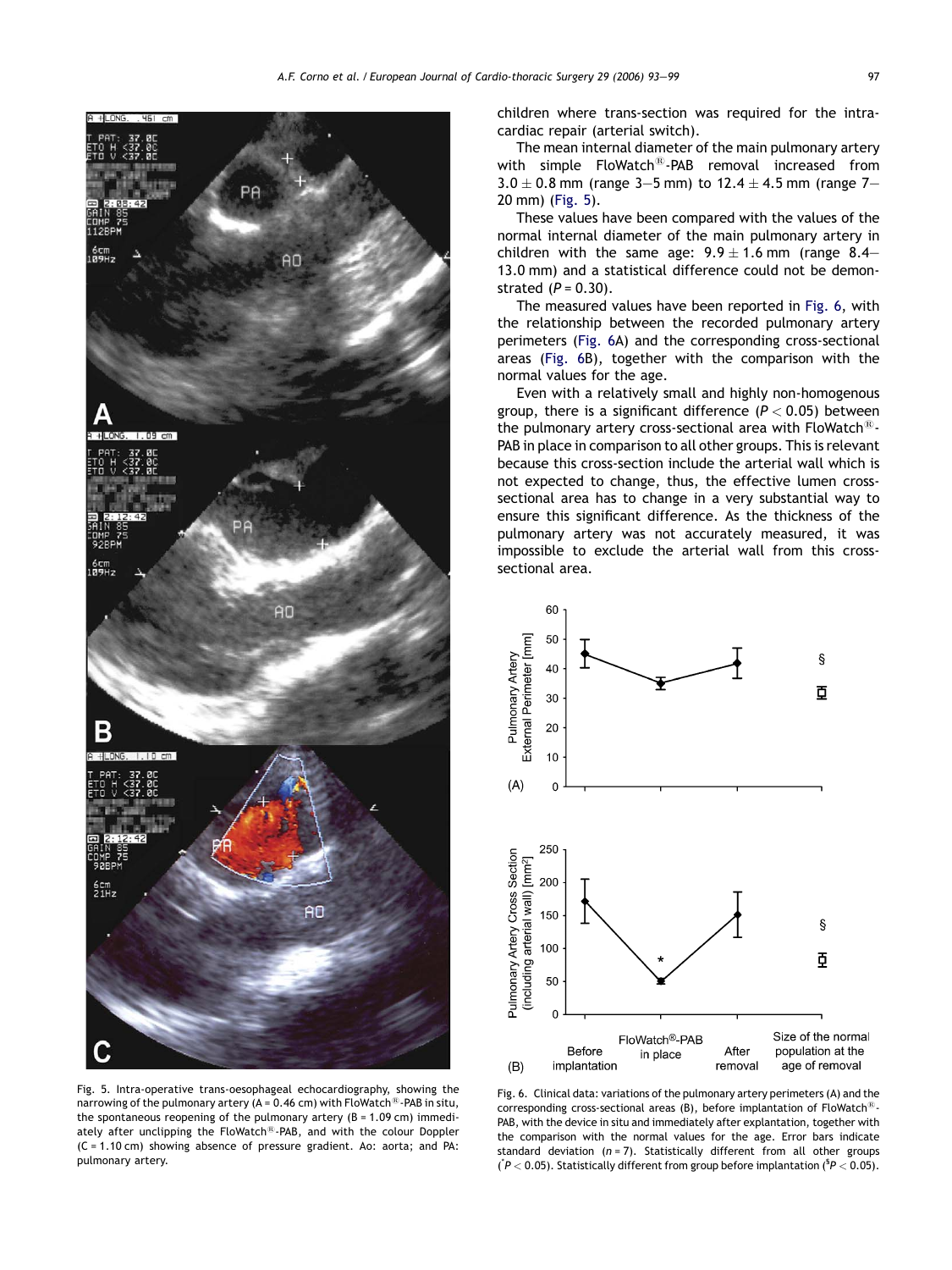

children where trans-section was required for the intracardiac repair (arterial switch).

The mean internal diameter of the main pulmonary artery with simple  $F$ loWatch $^{(8)}$ -PAB removal increased from  $3.0 \pm 0.8$  mm (range 3–5 mm) to 12.4  $\pm$  4.5 mm (range 7– 20 mm) (Fig. 5).

These values have been compared with the values of the normal internal diameter of the main pulmonary artery in children with the same age:  $9.9 \pm 1.6$  mm (range 8.4– 13.0 mm) and a statistical difference could not be demonstrated  $(P = 0.30)$ .

The measured values have been reported in Fig. 6, with the relationship between the recorded pulmonary artery perimeters (Fig. 6A) and the corresponding cross-sectional areas (Fig. 6B), together with the comparison with the normal values for the age.

Even with a relatively small and highly non-homogenous group, there is a significant difference  $(P < 0.05)$  between the pulmonary artery cross-sectional area with FloWatch $^{18}$ -PAB in place in comparison to all other groups. This is relevant because this cross-section include the arterial wall which is not expected to change, thus, the effective lumen crosssectional area has to change in a very substantial way to ensure this significant difference. As the thickness of the pulmonary artery was not accurately measured, it was impossible to exclude the arterial wall from this crosssectional area.



Fig. 5. Intra-operative trans-oesophageal echocardiography, showing the narrowing of the pulmonary artery (A = 0.46 cm) with FloWatch<sup>®</sup>-PAB in situ, the spontaneous reopening of the pulmonary artery  $(B = 1.09 \text{ cm})$  immediately after unclipping the  $F$ loWatch $^{(8)}$ -PAB, and with the colour Doppler (C = 1.10 cm) showing absence of pressure gradient. Ao: aorta; and PA: pulmonary artery.

Fig. 6. Clinical data: variations of the pulmonary artery perimeters (A) and the corresponding cross-sectional areas (B), before implantation of FloWatch<sup>®</sup>-PAB, with the device in situ and immediately after explantation, together with the comparison with the normal values for the age. Error bars indicate standard deviation ( $n = 7$ ). Statistically different from all other groups ( $\degree$ P < 0.05). Statistically different from group before implantation ( $\degree$ P < 0.05).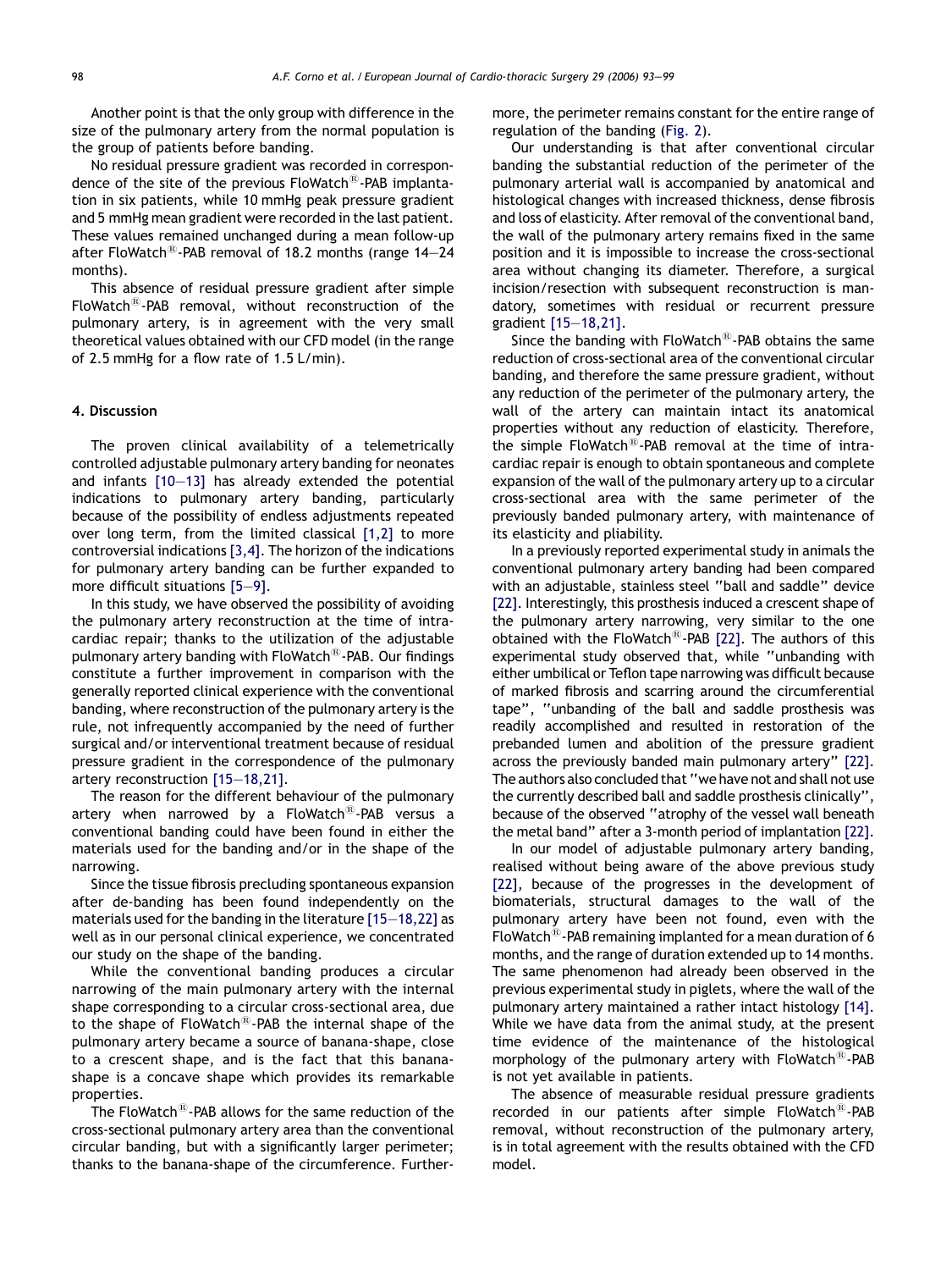Another point is that the only group with difference in the size of the pulmonary artery from the normal population is the group of patients before banding.

No residual pressure gradient was recorded in correspondence of the site of the previous  $F$ loWatch $^{(8)}$ -PAB implantation in six patients, while 10 mmHg peak pressure gradient and 5 mmHg mean gradient were recorded in the last patient. These values remained unchanged during a mean follow-up after FloWatch<sup>®</sup>-PAB removal of 18.2 months (range 14-24 months).

This absence of residual pressure gradient after simple FloWatch<sup>®</sup>-PAB removal, without reconstruction of the pulmonary artery, is in agreement with the very small theoretical values obtained with our CFD model (in the range of 2.5 mmHg for a flow rate of 1.5 L/min).

# 4. Discussion

The proven clinical availability of a telemetrically controlled adjustable pulmonary artery banding for neonates and infants [\[10—13\]](#page-6-0) has already extended the potential indications to pulmonary artery banding, particularly because of the possibility of endless adjustments repeated over long term, from the limited classical [\[1,2\]](#page-6-0) to more controversial indications [\[3,4\].](#page-6-0) The horizon of the indications for pulmonary artery banding can be further expanded to more difficult situations [\[5—9\]](#page-6-0).

In this study, we have observed the possibility of avoiding the pulmonary artery reconstruction at the time of intracardiac repair; thanks to the utilization of the adjustable pulmonary artery banding with  $F$ loWatch $^{\circledR}$ -PAB. Our findings constitute a further improvement in comparison with the generally reported clinical experience with the conventional banding, where reconstruction of the pulmonary artery is the rule, not infrequently accompanied by the need of further surgical and/or interventional treatment because of residual pressure gradient in the correspondence of the pulmonary artery reconstruction [\[15—18,21\]](#page-6-0).

The reason for the different behaviour of the pulmonary artery when narrowed by a  $F$ loWatch $^{\circledR}$ -PAB versus a conventional banding could have been found in either the materials used for the banding and/or in the shape of the narrowing.

Since the tissue fibrosis precluding spontaneous expansion after de-banding has been found independently on the materials used for the banding in the literature [\[15—18,22\]](#page-6-0) as well as in our personal clinical experience, we concentrated our study on the shape of the banding.

While the conventional banding produces a circular narrowing of the main pulmonary artery with the internal shape corresponding to a circular cross-sectional area, due to the shape of FloWatch $^{(8)}$ -PAB the internal shape of the pulmonary artery became a source of banana-shape, close to a crescent shape, and is the fact that this bananashape is a concave shape which provides its remarkable properties.

The FloWatch<sup>®</sup>-PAB allows for the same reduction of the cross-sectional pulmonary artery area than the conventional circular banding, but with a significantly larger perimeter; thanks to the banana-shape of the circumference. Furthermore, the perimeter remains constant for the entire range of regulation of the banding [\(Fig. 2\)](#page-2-0).

Our understanding is that after conventional circular banding the substantial reduction of the perimeter of the pulmonary arterial wall is accompanied by anatomical and histological changes with increased thickness, dense fibrosis and loss of elasticity. After removal of the conventional band, the wall of the pulmonary artery remains fixed in the same position and it is impossible to increase the cross-sectional area without changing its diameter. Therefore, a surgical incision/resection with subsequent reconstruction is mandatory, sometimes with residual or recurrent pressure gradient [\[15—18,21\].](#page-6-0)

Since the banding with  $F$ loWatch $^{(8)}$ -PAB obtains the same reduction of cross-sectional area of the conventional circular banding, and therefore the same pressure gradient, without any reduction of the perimeter of the pulmonary artery, the wall of the artery can maintain intact its anatomical properties without any reduction of elasticity. Therefore, the simple FloWatch $^{(8)}$ -PAB removal at the time of intracardiac repair is enough to obtain spontaneous and complete expansion of the wall of the pulmonary artery up to a circular cross-sectional area with the same perimeter of the previously banded pulmonary artery, with maintenance of its elasticity and pliability.

In a previously reported experimental study in animals the conventional pulmonary artery banding had been compared with an adjustable, stainless steel ''ball and saddle'' device [\[22\].](#page-6-0) Interestingly, this prosthesis induced a crescent shape of the pulmonary artery narrowing, very similar to the one obtained with the FloWatch<sup>®</sup>-PAB [\[22\]](#page-6-0). The authors of this experimental study observed that, while ''unbanding with either umbilical or Teflon tape narrowing was difficult because of marked fibrosis and scarring around the circumferential tape'', ''unbanding of the ball and saddle prosthesis was readily accomplished and resulted in restoration of the prebanded lumen and abolition of the pressure gradient across the previously banded main pulmonary artery'' [\[22\].](#page-6-0) The authors also concluded that ''we have not and shall not use the currently described ball and saddle prosthesis clinically'', because of the observed ''atrophy of the vessel wall beneath the metal band'' after a 3-month period of implantation [\[22\].](#page-6-0)

In our model of adjustable pulmonary artery banding, realised without being aware of the above previous study [\[22\],](#page-6-0) because of the progresses in the development of biomaterials, structural damages to the wall of the pulmonary artery have been not found, even with the FloWatch $^{(8)}$ -PAB remaining implanted for a mean duration of 6 months, and the range of duration extended up to 14 months. The same phenomenon had already been observed in the previous experimental study in piglets, where the wall of the pulmonary artery maintained a rather intact histology [\[14\].](#page-6-0) While we have data from the animal study, at the present time evidence of the maintenance of the histological morphology of the pulmonary artery with FloWatch<sup>®</sup>-PAB is not yet available in patients.

The absence of measurable residual pressure gradients recorded in our patients after simple  $F$ loWatch<sup>®</sup>-PAB removal, without reconstruction of the pulmonary artery, is in total agreement with the results obtained with the CFD model.